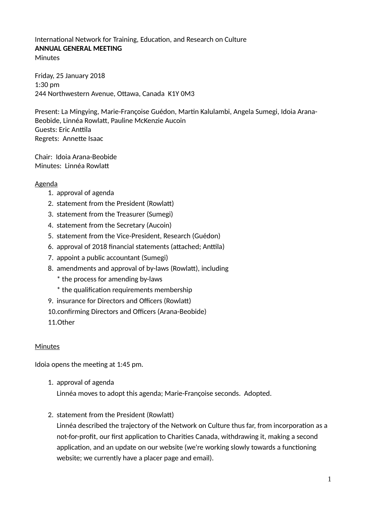### International Network for Training, Education, and Research on Culture **ANNUAL GENERAL MEETING Minutes**

Friday, 25 January 2018 1:30 pm 244 Northwestern Avenue, Ottawa, Canada K1Y 0M3

Present: La Mingying, Marie-Françoise Guédon, Martin Kalulambi, Angela Sumegi, Idoia Arana-Beobide, Linnéa Rowlatt, Pauline McKenzie Aucoin Guests: Eric Anttila Regrets: Annette Isaac

Chair: Idoia Arana-Beobide Minutes: Linnéa Rowlatt

### Agenda

- 1. approval of agenda
- 2. statement from the President (Rowlatt)
- 3. statement from the Treasurer (Sumegi)
- 4. statement from the Secretary (Aucoin)
- 5. statement from the Vice-President, Research (Guédon)
- 6. approval of 2018 financial statements (attached; Anttila)
- 7. appoint a public accountant (Sumegi)
- 8. amendments and approval of by-laws (Rowlatt), including
	- \* the process for amending by-laws
	- \* the qualification requirements membership
- 9. insurance for Directors and Officers (Rowlatt)
- 10.confirming Directors and Officers (Arana-Beobide)

11.Other

#### Minutes

Idoia opens the meeting at 1:45 pm.

- 1. approval of agenda Linnéa moves to adopt this agenda; Marie-Françoise seconds. Adopted.
- 2. statement from the President (Rowlatt)

Linnéa described the trajectory of the Network on Culture thus far, from incorporation as a not-for-profit, our first application to Charities Canada, withdrawing it, making a second application, and an update on our website (we're working slowly towards a functioning website; we currently have a placer page and email).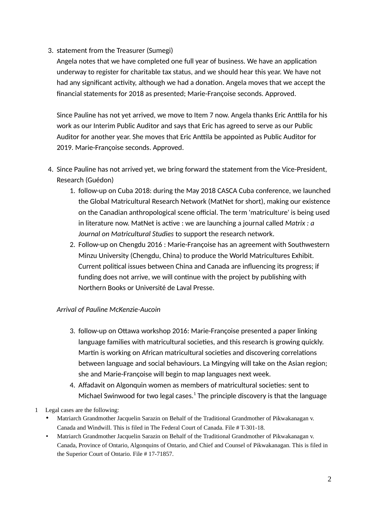# 3. statement from the Treasurer (Sumegi)

Angela notes that we have completed one full year of business. We have an application underway to register for charitable tax status, and we should hear this year. We have not had any significant activity, although we had a donation. Angela moves that we accept the financial statements for 2018 as presented; Marie-Françoise seconds. Approved.

Since Pauline has not yet arrived, we move to Item 7 now. Angela thanks Eric Anttila for his work as our Interim Public Auditor and says that Eric has agreed to serve as our Public Auditor for another year. She moves that Eric Anttila be appointed as Public Auditor for 2019. Marie-Françoise seconds. Approved.

- 4. Since Pauline has not arrived yet, we bring forward the statement from the Vice-President, Research (Guédon)
	- 1. follow-up on Cuba 2018: during the May 2018 CASCA Cuba conference, we launched the Global Matricultural Research Network (MatNet for short), making our existence on the Canadian anthropological scene official. The term 'matriculture' is being used in literature now. MatNet is active : we are launching a journal called *Matrix : a Journal on Matricultural Studies* to support the research network.
	- 2. Follow-up on Chengdu 2016 : Marie-Françoise has an agreement with Southwestern Minzu University (Chengdu, China) to produce the World Matricultures Exhibit. Current political issues between China and Canada are influencing its progress; if funding does not arrive, we will continue with the project by publishing with Northern Books or Université de Laval Presse.

# *Arrival of Pauline McKenzie-Aucoin*

- 3. follow-up on Ottawa workshop 2016: Marie-Françoise presented a paper linking language families with matricultural societies, and this research is growing quickly. Martin is working on African matricultural societies and discovering correlations between language and social behaviours. La Mingying will take on the Asian region; she and Marie-Françoise will begin to map languages next week.
- 4. Affadavit on Algonquin women as members of matricultural societies: sent to Michael Swinwood for two legal cases. $^1$  $^1$  The principle discovery is that the language
- <span id="page-1-0"></span>1 Legal cases are the following:
	- Matriarch Grandmother Jacquelin Sarazin on Behalf of the Traditional Grandmother of Pikwakanagan v. Canada and Windwill. This is filed in The Federal Court of Canada. File # T-301-18.
	- Matriarch Grandmother Jacquelin Sarazin on Behalf of the Traditional Grandmother of Pikwakanagan v. Canada, Province of Ontario, Algonquins of Ontario, and Chief and Counsel of Pikwakanagan. This is filed in the Superior Court of Ontario. File # 17-71857.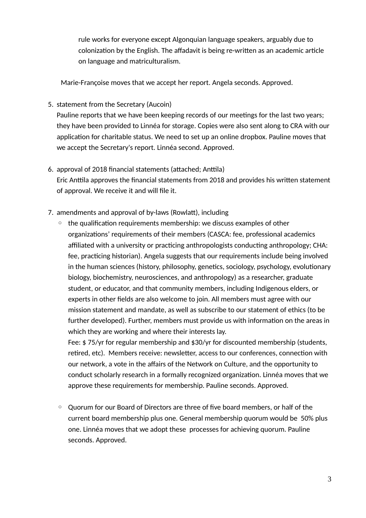rule works for everyone except Algonquian language speakers, arguably due to colonization by the English. The affadavit is being re-written as an academic article on language and matriculturalism.

Marie-Françoise moves that we accept her report. Angela seconds. Approved.

5. statement from the Secretary (Aucoin)

Pauline reports that we have been keeping records of our meetings for the last two years; they have been provided to Linnéa for storage. Copies were also sent along to CRA with our application for charitable status. We need to set up an online dropbox. Pauline moves that we accept the Secretary's report. Linnéa second. Approved.

- 6. approval of 2018 financial statements (attached; Anttila) Eric Anttila approves the financial statements from 2018 and provides his written statement of approval. We receive it and will file it.
- 7. amendments and approval of by-laws (Rowlatt), including
	- the qualification requirements membership: we discuss examples of other organizations' requirements of their members (CASCA: fee, professional academics affiliated with a university or practicing anthropologists conducting anthropology; CHA: fee, practicing historian). Angela suggests that our requirements include being involved in the human sciences (history, philosophy, genetics, sociology, psychology, evolutionary biology, biochemistry, neurosciences, and anthropology) as a researcher, graduate student, or educator, and that community members, including Indigenous elders, or experts in other fields are also welcome to join. All members must agree with our mission statement and mandate, as well as subscribe to our statement of ethics (to be further developed). Further, members must provide us with information on the areas in which they are working and where their interests lay.

Fee: \$ 75/yr for regular membership and \$30/yr for discounted membership (students, retired, etc). Members receive: newsletter, access to our conferences, connection with our network, a vote in the affairs of the Network on Culture, and the opportunity to conduct scholarly research in a formally recognized organization. Linnéa moves that we approve these requirements for membership. Pauline seconds. Approved.

◦ Quorum for our Board of Directors are three of five board members, or half of the current board membership plus one. General membership quorum would be 50% plus one. Linnéa moves that we adopt these processes for achieving quorum. Pauline seconds. Approved.